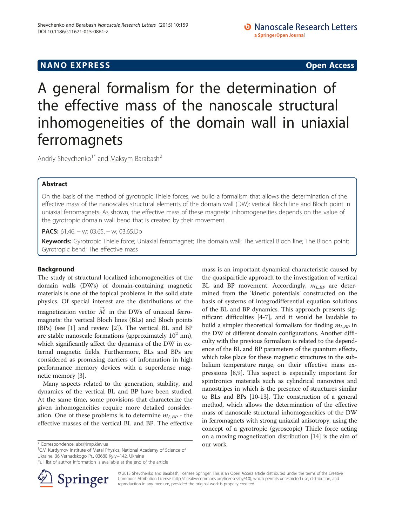# **NANO EXPRESS** Open Access **CONTROL**

A general formalism for the determination of the effective mass of the nanoscale structural inhomogeneities of the domain wall in uniaxial ferromagnets

Andriy Shevchenko<sup>1\*</sup> and Maksym Barabash<sup>2</sup>

# Abstract

On the basis of the method of gyrotropic Thiele forces, we build a formalism that allows the determination of the effective mass of the nanoscales structural elements of the domain wall (DW): vertical Bloch line and Bloch point in uniaxial ferromagnets. As shown, the effective mass of these magnetic inhomogeneities depends on the value of the gyrotropic domain wall bend that is created by their movement.

PACS: 61.46. – w; 03.65. – w; 03.65.Db

Keywords: Gyrotropic Thiele force; Uniaxial ferromagnet; The domain wall; The vertical Bloch line; The Bloch point; Gyrotropic bend; The effective mass

# Background

The study of structural localized inhomogeneities of the domain walls (DWs) of domain-containing magnetic materials is one of the topical problems in the solid state physics. Of special interest are the distributions of the magnetization vector  $\overrightarrow{M}$  in the DWs of uniaxial ferromagnets: the vertical Bloch lines (BLs) and Bloch points (BPs) (see [[1\]](#page-3-0) and review [\[2](#page-3-0)]). The vertical BL and BP are stable nanoscale formations (approximately  $10^2$  nm), which significantly affect the dynamics of the DW in external magnetic fields. Furthermore, BLs and BPs are considered as promising carriers of information in high performance memory devices with a superdense magnetic memory [[3\]](#page-3-0).

Many aspects related to the generation, stability, and dynamics of the vertical BL and BP have been studied. At the same time, some provisions that characterize the given inhomogeneities require more detailed consideration. One of these problems is to determine  $m_{L,BP}$  - the effective masses of the vertical BL and BP. The effective

 $^*$  Correspondence: [abs@imp.kiev.ua](mailto:abs@imp.kiev.ua) our work. 16.V. Kurdymov Institute of Metal Physics, National Academy of Science of  $\frac{1}{10}$ Ukraine, 36 Vernadskogo Pr., 03680 Kyiv−142, Ukraine

Full list of author information is available at the end of the article



mass is an important dynamical characteristic caused by the quasiparticle approach to the investigation of vertical BL and BP movement. Accordingly,  $m_{L,BP}$  are determined from the 'kinetic potentials' constructed on the basis of systems of integrodifferential equation solutions of the BL and BP dynamics. This approach presents significant difficulties [\[4](#page-3-0)-[7\]](#page-3-0), and it would be laudable to build a simpler theoretical formalism for finding  $m_{LRP}$  in the DW of different domain configurations. Another difficulty with the previous formalism is related to the dependence of the BL and BP parameters of the quantum effects, which take place for these magnetic structures in the subhelium temperature range, on their effective mass expressions [[8,9](#page-3-0)]. This aspect is especially important for spintronics materials such as cylindrical nanowires and nanostripes in which is the presence of structures similar to BLs and BPs [\[10-13](#page-3-0)]. The construction of a general method, which allows the determination of the effective mass of nanoscale structural inhomogeneities of the DW in ferromagnets with strong uniaxial anisotropy, using the concept of a gyrotropic (gyroscopic) Thiele force acting on a moving magnetization distribution [[14](#page-3-0)] is the aim of

© 2015 Shevchenko and Barabash; licensee Springer. This is an Open Access article distributed under the terms of the Creative Commons Attribution License (<http://creativecommons.org/licenses/by/4.0>), which permits unrestricted use, distribution, and reproduction in any medium, provided the original work is properly credited.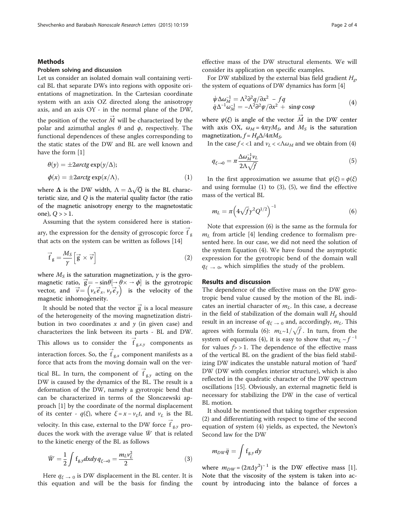### <span id="page-1-0"></span>Methods

have the form [[1\]](#page-3-0)

### Problem solving and discussion

Let us consider an isolated domain wall containing vertical BL that separate DWs into regions with opposite orientations of magnetization. In the Cartesian coordinate system with an axis OZ directed along the anisotropy axis, and an axis OY - in the normal plane of the DW, the position of the vector  $\overrightarrow{M}$  will be characterized by the polar and azimuthal angles  $\theta$  and  $\phi$ , respectively. The functional dependences of these angles corresponding to the static states of the DW and BL are well known and

$$
\theta(y) = \pm 2 \arctg \exp(y/\Delta);
$$
  
\n
$$
\phi(x) = \pm 2 \arctg \exp(x/\Delta),
$$
\n(1)

where  $\Delta$  is the DW width,  $\Lambda = \Delta \sqrt{Q}$  is the BL characteristic size, and Q is the material quality factor (the ratio of the magnetic anisotropy energy to the magnetostatic one),  $Q > 1$ .

Assuming that the system considered here is stationary, the expression for the density of gyroscopic force  $\stackrel{\rightarrow}{f}_g$ that acts on the system can be written as follows [\[14](#page-3-0)]

$$
\vec{f}_g = \frac{M_S}{\gamma} \left[ \vec{g} \times \vec{\nu} \right]
$$
 (2)

where  $M<sub>S</sub>$  is the saturation magnetization,  $\gamma$  is the gyromagnetic ratio,  $\vec{g} = -\sin\theta[\rightarrow \theta \times \rightarrow \phi]$  is the gyrotropic vector, and  $\vec{v} = (v_x \vec{e}_x, v_y \vec{e}_y)$  is the velocity of the magnetic inhomogeneity.

It should be noted that the vector  $\vec{g}$  is a local measure of the heterogeneity of the moving magnetization distribution in two coordinates  $x$  and  $y$  (in given case) and characterizes the link between its parts - BL and DW. This allows us to consider the  $\overrightarrow{f}_{g,x,y}$  components as interaction forces. So, the  $\overrightarrow{f}_{g,x}$  component manifests as a force that acts from the moving domain wall on the vertical BL. In turn, the component of  $\overrightarrow{f}_{g,y}$  acting on the DW is caused by the dynamics of the BL. The result is a deformation of the DW, namely a gyrotropic bend that can be characterized in terms of the Slonczewski approach [\[1\]](#page-3-0) by the coordinate of the normal displacement of its center -  $q(\xi)$ , where  $\xi = x - v_L t$ , and  $v_L$  is the BL velocity. In this case, external to the DW force  $\overrightarrow{f}_{g,y}$  produces the work with the average value  $\overline{W}$  that is related to the kinetic energy of the BL as follows

$$
\bar{W} = \frac{1}{2} \int f_{g,y} dx dy q_{\xi \to 0} = \frac{m_L v_L^2}{2}
$$
 (3)

Here  $q_{\xi \to 0}$  is DW displacement in the BL center. It is this equation and will be the basis for finding the effective mass of the DW structural elements. We will consider its application on specific examples.

For DW stabilized by the external bias field gradient  $H_{\sigma}$ , the system of equations of DW dynamics has form [[4\]](#page-3-0)

$$
\dot{\psi}\Delta\omega_M^{-1} = \Lambda^2 \partial^2 q / \partial x^2 - f q
$$
  
\n
$$
\dot{q}\Delta^{-1}\omega_M^{-1} = -\Lambda^2 \partial^2 \psi / \partial x^2 + \sin\psi \cos\psi
$$
\n(4)

where  $\psi(\xi)$  is angle of the vector  $\vec{M}$  in the DW center with axis OX,  $\omega_M = 4\pi \gamma M_S$ , and  $M_S$  is the saturation magnetization,  $f = H<sub>g</sub> \Delta / 4 \pi M<sub>S</sub>$ .

In the case  $f < 1$  and  $v_L < \Lambda \omega_M$  and we obtain from (4)

$$
q_{\xi \to 0} = \pi \frac{\Delta \omega_M^{-1} v_L}{2\Lambda \sqrt{f}} \tag{5}
$$

In the first approximation we assume that  $\psi(\xi) = \phi(\xi)$ and using formulae  $(1)$  to  $(3)$ ,  $(5)$ , we find the effective mass of the vertical BL

$$
m_L = \pi \left( 4\sqrt{f} \gamma^2 Q^{1/2} \right)^{-1} \tag{6}
$$

Note that expression (6) is the same as the formula for  $m<sub>L</sub>$  from article [\[4\]](#page-3-0) lending credence to formalism presented here. In our case, we did not need the solution of the system Equation (4). We have found the asymptotic expression for the gyrotropic bend of the domain wall  $q_{\xi} \rightarrow 0$ , which simplifies the study of the problem.

#### Results and discussion

The dependence of the effective mass on the DW gyrotropic bend value caused by the motion of the BL indicates an inertial character of  $m<sub>L</sub>$ . In this case, a decrease in the field of stabilization of the domain wall  $H_{\sigma}$  should result in an increase of  $q_{\xi \to 0}$  and, accordingly,  $m_L$ . This agrees with formula (6):  $m_L \sim 1/\sqrt{f}$ . In turn, from the system of equations (4), it is easy to show that  $m_l \sim f^{-1}$ for values  $f > 1$ . The dependence of the effective mass of the vertical BL on the gradient of the bias field stabilizing DW indicates the unstable natural motion of 'hard' DW (DW with complex interior structure), which is also reflected in the quadratic character of the DW spectrum oscillations [[15](#page-3-0)]. Obviously, an external magnetic field is necessary for stabilizing the DW in the case of vertical BL motion.

It should be mentioned that taking together expression (2) and differentiating with respect to time of the second equation of system (4) yields, as expected, the Newton's Second law for the DW

$$
m_{DW}\ddot{q}=\int f_{g,y}dy
$$

where  $m_{DW} = (2\pi\Delta\gamma^2)^{-1}$  is the DW effective mass [\[1](#page-3-0)]. Note that the viscosity of the system is taken into account by introducing into the balance of forces a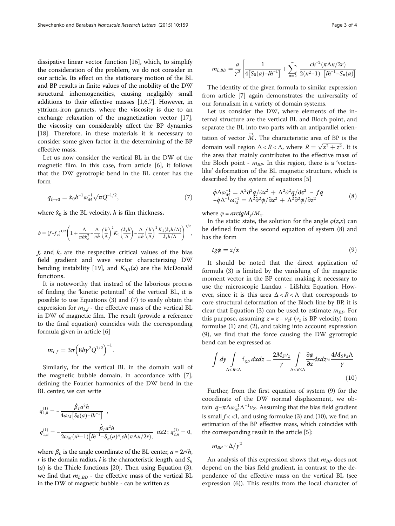<span id="page-2-0"></span>dissipative linear vector function [\[16](#page-3-0)], which, to simplify the consideration of the problem, we do not consider in our article. Its effect on the stationary motion of the BL and BP results in finite values of the mobility of the DW structural inhomogeneities, causing negligibly small additions to their effective masses [[1,6,7\]](#page-3-0). However, in yttrium-iron garnets, where the viscosity is due to an exchange relaxation of the magnetization vector [\[17](#page-3-0)], the viscosity can considerably affect the BP dynamics [[18\]](#page-3-0). Therefore, in these materials it is necessary to consider some given factor in the determining of the BP effective mass.

Let us now consider the vertical BL in the DW of the magnetic film. In this case, from article [\[6](#page-3-0)], it follows that the DW gyrotropic bend in the BL center has the form

$$
q_{\xi \to 0} = \dot{x}_0 b^{-1} \omega_M^{-1} \sqrt{\pi} Q^{-1/2},\tag{7}
$$

where  $\dot{x}_0$  is the BL velocity, h is film thickness,

$$
b = (f - f_c)^{1/2} \left( 1 + \frac{\Delta}{\pi h k_c^2} - \frac{\Delta}{\pi h} \left( \frac{h}{\Lambda} \right)^2 K_0 \left( \frac{k_c h}{\Lambda} \right) - \frac{\Delta}{\pi h} \left( \frac{h}{\Lambda} \right)^2 \frac{K_1 (k_c h/\Lambda)}{k_c h/\Lambda} \right)^{1/2},
$$

 $f_c$  and  $k_c$  are the respective critical values of the bias field gradient and wave vector characterizing DW bending instability [\[19](#page-3-0)], and  $K_{0,1}(x)$  are the McDonald functions.

It is noteworthy that instead of the laborious process of finding the 'kinetic potential' of the vertical BL, it is possible to use Equations ([3\)](#page-1-0) and (7) to easily obtain the expression for  $m_{L,f}$  - the effective mass of the vertical BL in DW of magnetic film. The result (provide a reference to the final equation) coincides with the corresponding formula given in article [\[6](#page-3-0)]

$$
m_{L,f}=3\pi \Big( 8b\gamma^2 Q^{1/2} \Big)^{-1}.
$$

Similarly, for the vertical BL in the domain wall of the magnetic bubble domain, in accordance with [\[7](#page-3-0)], defining the Fourier harmonics of the DW bend in the BL center, we can write

$$
\begin{array}{l} \displaystyle q_{1,0}^{(1)}=-\frac{\dot\beta_L a^2 h}{4\omega_M\left[S_0(a)-lh^{-1}\right]} \;\;,\\ \\ \displaystyle q_{1,n}^{(1)}=-\frac{\dot\beta_L a^2 h}{2\omega_M(n^2-1)\left[lh^{-1}-S_n(a)^n\right]ch(\pi\Lambda n/2r),} \;\;n{\geq}2\,;\, q_{2,n}^{(1)}=0, \end{array}
$$

where  $\beta_L$  is the angle coordinate of the BL center,  $a = 2r/h$ , r is the domain radius, l is the characteristic length, and  $S_n$ (*a*) is the Thiele functions [[20](#page-3-0)]. Then using Equation  $(3)$  $(3)$  $(3)$ , we find that  $m_{L,BD}$  - the effective mass of the vertical BL in the DW of magnetic bubble - can be written as

$$
m_{L,BD} = \frac{a}{\gamma^2} \left[ \frac{1}{4 \left[ S_0(a) - l h^{-1} \right]} + \sum_{n=2}^{\infty} \frac{c h^{-2} (\pi \Lambda n/2r)}{2(n^2-1) \left[ l h^{-1} - S_n(a) \right]} \right]
$$

The identity of the given formula to similar expression from article [[7](#page-3-0)] again demonstrates the universality of our formalism in a variety of domain systems.

Let us consider the DW, where elements of the internal structure are the vertical BL and Bloch point, and separate the BL into two parts with an antiparallel orientation of vector  $\vec{M}$ . The characteristic area of BP is the domain wall region  $\Delta < R < \Lambda$ , where  $R = \sqrt{x^2 + z^2}$ . It is the area that mainly contributes to the effective mass of the Bloch point -  $m_{BP}$ . In this region, there is a 'vortexlike' deformation of the BL magnetic structure, which is described by the system of equations [[5\]](#page-3-0)

$$
\dot{\phi}\Delta\omega_M^{-1} = \Lambda^2 \partial^2 q / \partial x^2 + \Lambda^2 \partial^2 q / \partial z^2 - f q
$$
  
\n
$$
-\dot{q}\Delta^{-1}\omega_M^{-1} = \Lambda^2 \partial^2 \phi / \partial x^2 + \Lambda^2 \partial^2 \phi / \partial z^2
$$
\n(8)

where  $\varphi = \frac{arctgM_v}{M_x}$ .

In the static state, the solution for the angle  $\varphi(z,x)$  can be defined from the second equation of system (8) and has the form

$$
tg\phi = z/x \tag{9}
$$

It should be noted that the direct application of formula ([3\)](#page-1-0) is limited by the vanishing of the magnetic moment vector in the BP center, making it necessary to use the microscopic Landau - Lifshitz Equation. However, since it is this area  $\Delta < R < \Lambda$  that corresponds to core structural deformation of the Bloch line by BP, it is clear that Equation ([3\)](#page-1-0) can be used to estimate  $m_{BP}$ . For this purpose, assuming  $z = z - v_z t$  ( $v_z$  is BP velocity) from formulae ([1\)](#page-1-0) and [\(2](#page-1-0)), and taking into account expression (9), we find that the force causing the DW gyrotropic bend can be expressed as

$$
\int dy \int_{\Delta < R \le \Lambda} f_{g,y} dx dz = \frac{2M_S v_z}{\gamma} \int_{\Delta < R \le \Lambda} \frac{\partial \phi}{\partial z} dx dz \approx \frac{4M_S v_z \Lambda}{\gamma}
$$
\n(10)

Further, from the first equation of system (9) for the coordinate of the DW normal displacement, we obtain  $q \sim \pi \Delta \omega_M^{-1} \Lambda^{-1} v_Z$ . Assuming that the bias field gradient<br>is small  $f \sim 1$  and using formulae (3) and (10), we find an is small  $f \lt \lt 1$ , and using formulae ([3](#page-1-0)) and (10), we find an estimation of the BP effective mass, which coincides with the corresponding result in the article [\[5](#page-3-0)]:

$$
m_{BP} \sim \Delta/\gamma^2
$$

An analysis of this expression shows that  $m_{BP}$  does not depend on the bias field gradient, in contrast to the dependence of the effective mass on the vertical BL (see expression ([6\)](#page-1-0)). This results from the local character of